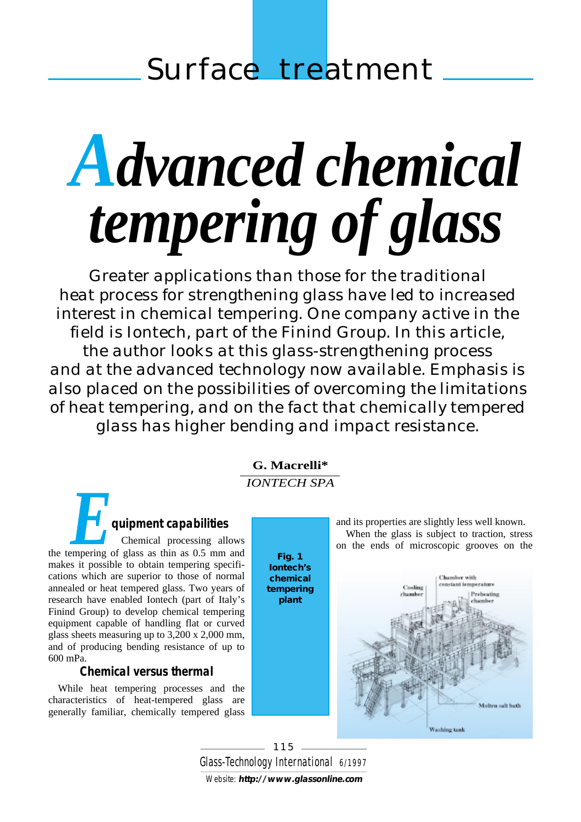# <span id="page-0-0"></span>*Advanced chemical tempering of glass*

*Greater applications than those for the traditional heat process for strengthening glass have led to increased interest in chemical tempering. One company active in the field is Iontech, part of the Finind Group. In this article, the author looks at this glass-strengthening process and at the advanced technology now available. Emphasis is also placed on the possibilities of overcoming the limitations of heat tempering, and on the fact that chemically tempered glass has higher bending and impact resistance.*

# **[G. Macrelli\\*](#page-2-0)** *IONTECH SPA*

# *E***quipment capabilities**

Chemical processing allows the tempering of glass as thin as 0.5 mm and makes it possible to obtain tempering specifications which are superior to those of normal annealed or heat tempered glass. Two years of research have enabled Iontech (part of Italy's Finind Group) to develop chemical tempering equipment capable of handling flat or curved glass sheets measuring up to 3,200 x 2,000 mm, and of producing bending resistance of up to 600 mPa.

# **Chemical versus thermal**

While heat tempering processes and the characteristics of heat-tempered glass are generally familiar, chemically tempered glass

**Fig. 1 Iontech's chemical tempering plant**

and its properties are slightly less well known. When the glass is subject to traction, stress on the ends of microscopic grooves on the



Glass-*Technology International 6/1997 115* Website: **<http://www.glassonline.com>**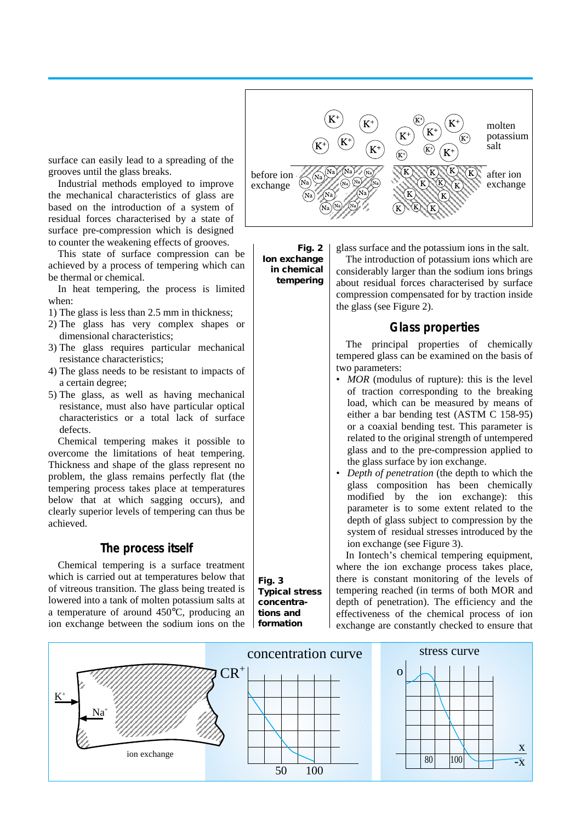surface can easily lead to a spreading of the grooves until the glass breaks.

Industrial methods employed to improve the mechanical characteristics of glass are based on the introduction of a system of residual forces characterised by a state of surface pre-compression which is designed to counter the weakening effects of grooves.

This state of surface compression can be achieved by a process of tempering which can be thermal or chemical.

In heat tempering, the process is limited when:

- 1) The glass is less than 2.5 mm in thickness;
- 2) The glass has very complex shapes or dimensional characteristics;
- 3) The glass requires particular mechanical resistance characteristics;
- 4) The glass needs to be resistant to impacts of a certain degree;
- 5) The glass, as well as having mechanical resistance, must also have particular optical characteristics or a total lack of surface defects.

Chemical tempering makes it possible to overcome the limitations of heat tempering. Thickness and shape of the glass represent no problem, the glass remains perfectly flat (the tempering process takes place at temperatures below that at which sagging occurs), and clearly superior levels of tempering can thus be achieved.

#### **The process itself**

Chemical tempering is a surface treatment which is carried out at temperatures below that of vitreous transition. The glass being treated is lowered into a tank of molten potassium salts at a temperature of around 450°C, producing an ion exchange between the sodium ions on the



**Fig. 2 Ion exchange in chemical tempering**

glass surface and the potassium ions in the salt.

The introduction of potassium ions which are considerably larger than the sodium ions brings about residual forces characterised by surface compression compensated for by traction inside the glass (see Figure 2).

### **Glass properties**

The principal properties of chemically tempered glass can be examined on the basis of two parameters:

- *MOR* (modulus of rupture): this is the level of traction corresponding to the breaking load, which can be measured by means of either a bar bending test (ASTM C 158-95) or a coaxial bending test. This parameter is related to the original strength of untempered glass and to the pre-compression applied to the glass surface by ion exchange.
- *Depth of penetration* (the depth to which the glass composition has been chemically modified by the ion exchange): this parameter is to some extent related to the depth of glass subject to compression by the system of residual stresses introduced by the ion exchange (see Figure 3).

In Iontech's chemical tempering equipment, where the ion exchange process takes place, there is constant monitoring of the levels of tempering reached (in terms of both MOR and depth of penetration). The efficiency and the effectiveness of the chemical process of ion exchange are constantly checked to ensure that



**Fig. 3 Typical stress concentrations and formation**